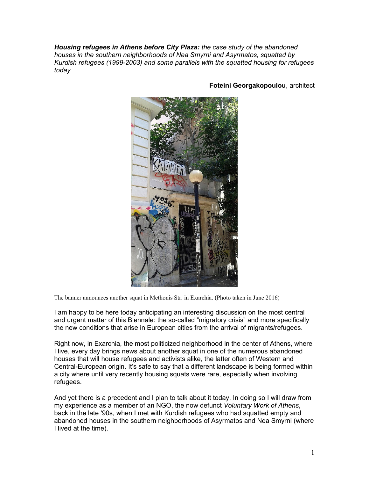*Housing refugees in Athens before City Plaza: the case study of the abandoned houses in the southern neighborhoods of Nea Smyrni and Asyrmatos, squatted by Kurdish refugees (1999-2003) and some parallels with the squatted housing for refugees today*



**Foteini Georgakopoulou**, architect

The banner announces another squat in Methonis Str. in Exarchia. (Photo taken in June 2016)

I am happy to be here today anticipating an interesting discussion on the most central and urgent matter of this Biennale: the so-called "migratory crisis" and more specifically the new conditions that arise in European cities from the arrival of migrants/refugees.

Right now, in Exarchia, the most politicized neighborhood in the center of Athens, where I live, every day brings news about another squat in one of the numerous abandoned houses that will house refugees and activists alike, the latter often of Western and Central-European origin. It's safe to say that a different landscape is being formed within a city where until very recently housing squats were rare, especially when involving refugees.

And yet there is a precedent and I plan to talk about it today. In doing so I will draw from my experience as a member of an NGO, the now defunct *Voluntary Work of Athens*, back in the late '90s, when I met with Kurdish refugees who had squatted empty and abandoned houses in the southern neighborhoods of Asyrmatos and Nea Smyrni (where I lived at the time).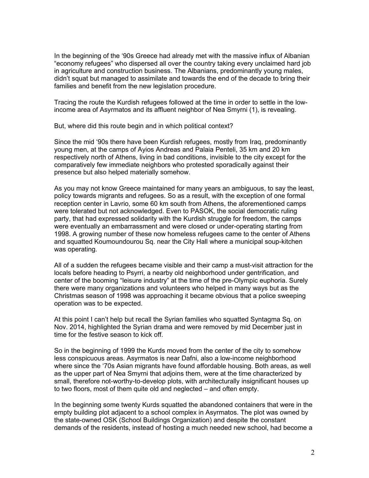In the beginning of the '90s Greece had already met with the massive influx of Albanian "economy refugees" who dispersed all over the country taking every unclaimed hard job in agriculture and construction business. The Albanians, predominantly young males, didn't squat but managed to assimilate and towards the end of the decade to bring their families and benefit from the new legislation procedure.

Tracing the route the Kurdish refugees followed at the time in order to settle in the lowincome area of Asyrmatos and its affluent neighbor of Nea Smyrni (1), is revealing.

But, where did this route begin and in which political context?

Since the mid '90s there have been Kurdish refugees, mostly from Iraq, predominantly young men, at the camps of Ayios Andreas and Palaia Penteli, 35 km and 20 km respectively north of Athens, living in bad conditions, invisible to the city except for the comparatively few immediate neighbors who protested sporadically against their presence but also helped materially somehow.

As you may not know Greece maintained for many years an ambiguous, to say the least, policy towards migrants and refugees. So as a result, with the exception of one formal reception center in Lavrio, some 60 km south from Athens, the aforementioned camps were tolerated but not acknowledged. Even to PASOK, the social democratic ruling party, that had expressed solidarity with the Kurdish struggle for freedom, the camps were eventually an embarrassment and were closed or under-operating starting from 1998. A growing number of these now homeless refugees came to the center of Athens and squatted Koumoundourou Sq. near the City Hall where a municipal soup-kitchen was operating.

All of a sudden the refugees became visible and their camp a must-visit attraction for the locals before heading to Psyrri, a nearby old neighborhood under gentrification, and center of the booming "leisure industry" at the time of the pre-Olympic euphoria. Surely there were many organizations and volunteers who helped in many ways but as the Christmas season of 1998 was approaching it became obvious that a police sweeping operation was to be expected.

At this point I can't help but recall the Syrian families who squatted Syntagma Sq. on Nov. 2014, highlighted the Syrian drama and were removed by mid December just in time for the festive season to kick off.

So in the beginning of 1999 the Kurds moved from the center of the city to somehow less conspicuous areas. Asyrmatos is near Dafni, also a low-income neighborhood where since the '70s Asian migrants have found affordable housing. Both areas, as well as the upper part of Nea Smyrni that adjoins them, were at the time characterized by small, therefore not-worthy-to-develop plots, with architecturally insignificant houses up to two floors, most of them quite old and neglected – and often empty.

In the beginning some twenty Kurds squatted the abandoned containers that were in the empty building plot adjacent to a school complex in Asyrmatos. The plot was owned by the state-owned OSK (School Buildings Organization) and despite the constant demands of the residents, instead of hosting a much needed new school, had become a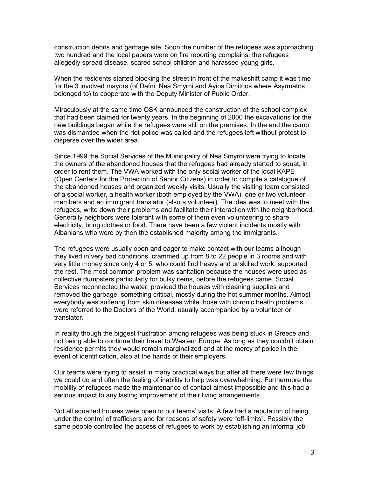construction debris and garbage site. Soon the number of the refugees was approaching two hundred and the local papers were on fire reporting complains: the refugees allegedly spread disease, scared school children and harassed young girls.

When the residents started blocking the street in front of the makeshift camp it was time for the 3 involved mayors (of Dafni, Nea Smyrni and Ayios Dimitrios where Asyrmatos belonged to) to cooperate with the Deputy Minister of Public Order.

Miraculously at the same time OSK announced the construction of the school complex that had been claimed for twenty years. In the beginning of 2000 the excavations for the new buildings began while the refugees were still on the premises. In the end the camp was dismantled when the riot police was called and the refugees left without protest to disperse over the wider area.

Since 1999 the Social Services of the Municipality of Nea Smyrni were trying to locate the owners of the abandoned houses that the refugees had already started to squat, in order to rent them. The VWA worked with the only social worker of the local KAPE (Open Centers for the Protection of Senior Citizens) in order to compile a catalogue of the abandoned houses and organized weekly visits. Usually the visiting team consisted of a social worker, a health worker (both employed by the VWA), one or two volunteer members and an immigrant translator (also a volunteer). The idea was to meet with the refugees, write down their problems and facilitate their interaction with the neighborhood. Generally neighbors were tolerant with some of them even volunteering to share electricity, bring clothes or food. There have been a few violent incidents mostly with Albanians who were by then the established majority among the immigrants.

The refugees were usually open and eager to make contact with our teams although they lived in very bad conditions, crammed up from 8 to 22 people in 3 rooms and with very little money since only 4 or 5, who could find heavy and unskilled work, supported the rest. The most common problem was sanitation because the houses were used as collective dumpsters particularly for bulky items, before the refugees came. Social Services reconnected the water, provided the houses with cleaning supplies and removed the garbage, something critical, mostly during the hot summer months. Almost everybody was suffering from skin diseases while those with chronic health problems were referred to the Doctors of the World, usually accompanied by a volunteer or translator.

In reality though the biggest frustration among refugees was being stuck in Greece and not being able to continue their travel to Western Europe. As long as they couldn't obtain residence permits they would remain marginalized and at the mercy of police in the event of identification, also at the hands of their employers.

Our teams were trying to assist in many practical ways but after all there were few things we could do and often the feeling of inability to help was overwhelming. Furthermore the mobility of refugees made the maintenance of contact almost impossible and this had a serious impact to any lasting improvement of their living arrangements.

Not all squatted houses were open to our teams' visits. A few had a reputation of being under the control of traffickers and for reasons of safety were "off-limits". Possibly the same people controlled the access of refugees to work by establishing an informal job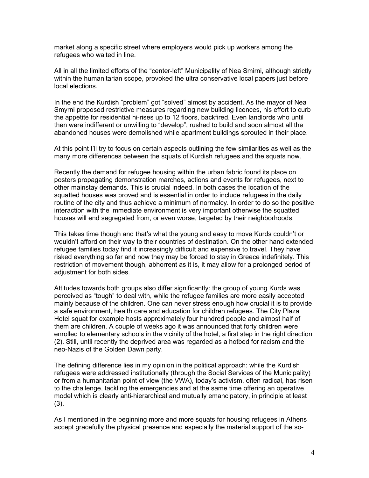market along a specific street where employers would pick up workers among the refugees who waited in line.

All in all the limited efforts of the "center-left" Municipality of Nea Smirni, although strictly within the humanitarian scope, provoked the ultra conservative local papers just before local elections.

In the end the Kurdish "problem" got "solved" almost by accident. As the mayor of Nea Smyrni proposed restrictive measures regarding new building licences, his effort to curb the appetite for residential hi-rises up to 12 floors, backfired. Even landlords who until then were indifferent or unwilling to "develop", rushed to build and soon almost all the abandoned houses were demolished while apartment buildings sprouted in their place.

At this point I'll try to focus on certain aspects outlining the few similarities as well as the many more differences between the squats of Kurdish refugees and the squats now.

Recently the demand for refugee housing within the urban fabric found its place on posters propagating demonstration marches, actions and events for refugees, next to other mainstay demands. This is crucial indeed. In both cases the location of the squatted houses was proved and is essential in order to include refugees in the daily routine of the city and thus achieve a minimum of normalcy. In order to do so the positive interaction with the immediate environment is very important otherwise the squatted houses will end segregated from, or even worse, targeted by their neighborhoods.

This takes time though and that's what the young and easy to move Kurds couldn't or wouldn't afford on their way to their countries of destination. On the other hand extended refugee families today find it increasingly difficult and expensive to travel. They have risked everything so far and now they may be forced to stay in Greece indefinitely. This restriction of movement though, abhorrent as it is, it may allow for a prolonged period of adjustment for both sides.

Attitudes towards both groups also differ significantly: the group of young Kurds was perceived as "tough" to deal with, while the refugee families are more easily accepted mainly because of the children. One can never stress enough how crucial it is to provide a safe environment, health care and education for children refugees. The City Plaza Hotel squat for example hosts approximately four hundred people and almost half of them are children. A couple of weeks ago it was announced that forty children were enrolled to elementary schools in the vicinity of the hotel, a first step in the right direction (2). Still, until recently the deprived area was regarded as a hotbed for racism and the neo-Nazis of the Golden Dawn party.

The defining difference lies in my opinion in the political approach: while the Kurdish refugees were addressed institutionally (through the Social Services of the Municipality) or from a humanitarian point of view (the VWA), today's activism, often radical, has risen to the challenge, tackling the emergencies and at the same time offering an operative model which is clearly anti-hierarchical and mutually emancipatory, in principle at least (3).

As I mentioned in the beginning more and more squats for housing refugees in Athens accept gracefully the physical presence and especially the material support of the so-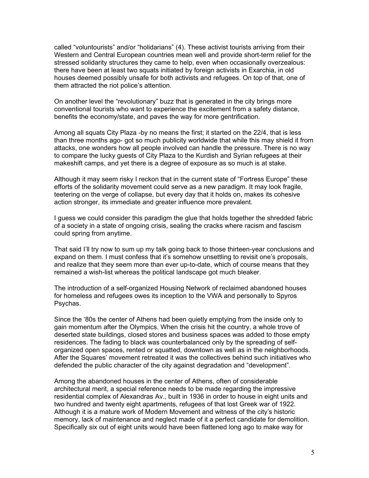called "voluntourists" and/or "holidarians" (4). These activist tourists arriving from their Western and Central European countries mean well and provide short-term relief for the stressed solidarity structures they came to help, even when occasionally overzealous: there have been at least two squats initiated by foreign activists in Exarchia, in old houses deemed possibly unsafe for both activists and refugees. On top of that, one of them attracted the riot police's attention.

On another level the "revolutionary" buzz that is generated in the city brings more conventional tourists who want to experience the excitement from a safety distance, benefits the economy/state, and paves the way for more gentrification.

Among all squats City Plaza -by no means the first; it started on the 22/4, that is less than three months ago- got so much publicity worldwide that while this may shield it from attacks, one wonders how all people involved can handle the pressure. There is no way to compare the lucky guests of City Plaza to the Kurdish and Syrian refugees at their makeshift camps, and yet there is a degree of exposure as so much is at stake.

Although it may seem risky I reckon that in the current state of "Fortress Europe" these efforts of the solidarity movement could serve as a new paradigm. It may look fragile, teetering on the verge of collapse, but every day that it holds on, makes its cohesive action stronger, its immediate and greater influence more prevalent.

I guess we could consider this paradigm the glue that holds together the shredded fabric of a society in a state of ongoing crisis, sealing the cracks where racism and fascism could spring from anytime.

That said I'll try now to sum up my talk going back to those thirteen-year conclusions and expand on them. I must confess that it's somehow unsettling to revisit one's proposals, and realize that they seem more than ever up-to-date, which of course means that they remained a wish-list whereas the political landscape got much bleaker.

The introduction of a self-organized Housing Network of reclaimed abandoned houses for homeless and refugees owes its inception to the VWA and personally to Spyros Psychas.

Since the '80s the center of Athens had been quietly emptying from the inside only to gain momentum after the Olympics. When the crisis hit the country, a whole trove of deserted state buildings, closed stores and business spaces was added to those empty residences. The fading to black was counterbalanced only by the spreading of selforganized open spaces, rented or squatted, downtown as well as in the neighborhoods. After the Squares' movement retreated it was the collectives behind such initiatives who defended the public character of the city against degradation and "development".

Among the abandoned houses in the center of Athens, often of considerable architectural merit, a special reference needs to be made regarding the impressive residential complex of Alexandras Av., built in 1936 in order to house in eight units and two hundred and twenty eight apartments, refugees of that lost Greek war of 1922. Although it is a mature work of Modern Movement and witness of the city's historic memory, lack of maintenance and neglect made of it a perfect candidate for demolition. Specifically six out of eight units would have been flattened long ago to make way for